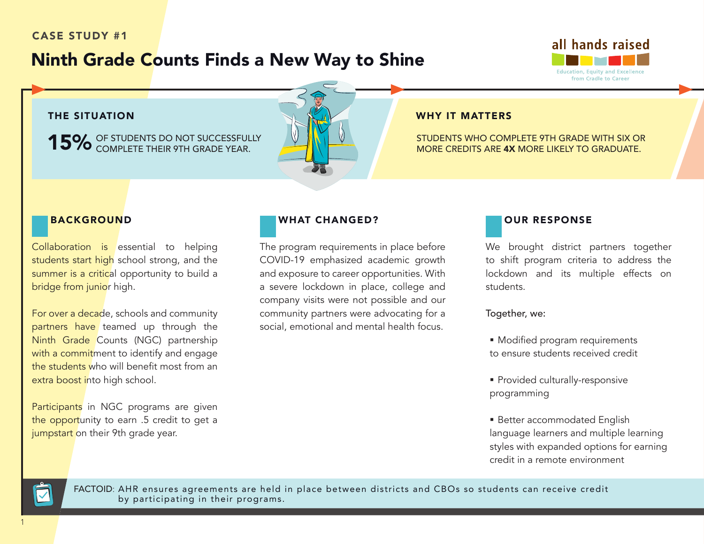# CASE STUDY #1

# Ninth Grade Counts Finds a New Way to Shine



#### THE SITUATION **WHY IT MATTERS**

15% OF STUDENTS DO NOT SUCCESSFULLY COMPLETE THEIR 9TH GRADE YEAR.

STUDENTS WHO COMPLETE 9TH GRADE WITH SIX OR MORE CREDITS ARE 4X MORE LIKELY TO GRADUATE.

#### BACKGROUND

Collaboration is essential to helping students start high school strong, and the summer is a critical opportunity to build a bridge from junior high.

For over a decade, schools and community partners have teamed up through the Ninth Grade Counts (NGC) partnership with a commitment to identify and engage the students who will benefit most from an extra boost into high school.

Participants in NGC programs are given the opportunity to earn .5 credit to get a jumpstart on their 9th grade year.

#### WHAT CHANGED?

The program requirements in place before COVID-19 emphasized academic growth and exposure to career opportunities. With a severe lockdown in place, college and company visits were not possible and our community partners were advocating for a social, emotional and mental health focus.



We brought district partners together to shift program criteria to address the lockdown and its multiple effects on students.

Together, we:

- **Modified program requirements** to ensure students received credit
- **Provided culturally-responsive** programming
- Better accommodated English language learners and multiple learning styles with expanded options for earning credit in a remote environment



FACTOID: AHR ensures agreements are held in place between districts and CBOs so students can receive credit by participating in their programs. The districts and CBOs. In the districts and CBOs.